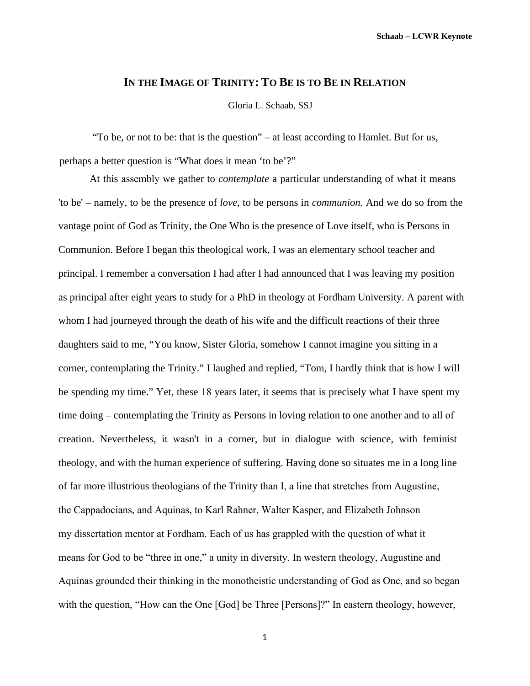## **IN THE IMAGE OF TRINITY: TO BE IS TO BE IN RELATION**

Gloria L. Schaab, SSJ

"To be, or not to be: that is the question" – at least according to Hamlet. But for us, perhaps a better question is "What does it mean 'to be'?"

At this assembly we gather to *contemplate* a particular understanding of what it means 'to be' – namely, to be the presence of *love*, to be persons in *communion*. And we do so from the vantage point of God as Trinity, the One Who is the presence of Love itself, who is Persons in Communion. Before I began this theological work, I was an elementary school teacher and principal. I remember a conversation I had after I had announced that I was leaving my position as principal after eight years to study for a PhD in theology at Fordham University. A parent with whom I had journeyed through the death of his wife and the difficult reactions of their three daughters said to me, "You know, Sister Gloria, somehow I cannot imagine you sitting in a corner, contemplating the Trinity." I laughed and replied, "Tom, I hardly think that is how I will be spending my time." Yet, these 18 years later, it seems that is precisely what I have spent my time doing – contemplating the Trinity as Persons in loving relation to one another and to all of creation. Nevertheless, it wasn't in a corner, but in dialogue with science, with feminist theology, and with the human experience of suffering. Having done so situates me in a long line of far more illustrious theologians of the Trinity than I, a line that stretches from Augustine, the Cappadocians, and Aquinas, to Karl Rahner, Walter Kasper, and Elizabeth Johnson my dissertation mentor at Fordham. Each of us has grappled with the question of what it means for God to be "three in one," a unity in diversity. In western theology, Augustine and Aquinas grounded their thinking in the monotheistic understanding of God as One, and so began with the question, "How can the One [God] be Three [Persons]?" In eastern theology, however,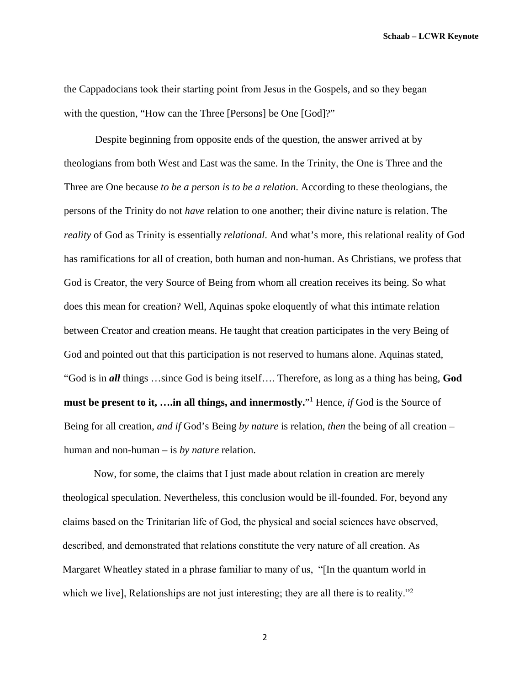the Cappadocians took their starting point from Jesus in the Gospels, and so they began with the question, "How can the Three [Persons] be One [God]?"

Despite beginning from opposite ends of the question, the answer arrived at by theologians from both West and East was the same. In the Trinity, the One is Three and the Three are One because *to be a person is to be a relation*. According to these theologians, the persons of the Trinity do not *have* relation to one another; their divine nature is relation. The *reality* of God as Trinity is essentially *relational*. And what's more, this relational reality of God has ramifications for all of creation, both human and non-human. As Christians, we profess that God is Creator, the very Source of Being from whom all creation receives its being. So what does this mean for creation? Well, Aquinas spoke eloquently of what this intimate relation between Creator and creation means. He taught that creation participates in the very Being of God and pointed out that this participation is not reserved to humans alone. Aquinas stated, "God is in *all* things …since God is being itself…. Therefore, as long as a thing has being, **God must be present to it, ….in all things, and innermostly.**" <sup>1</sup> Hence, *if* God is the Source of Being for all creation, *and if* God's Being *by nature* is relation, *then* the being of all creation – human and non-human – is *by nature* relation.

Now, for some, the claims that I just made about relation in creation are merely theological speculation. Nevertheless, this conclusion would be ill-founded. For, beyond any claims based on the Trinitarian life of God, the physical and social sciences have observed, described, and demonstrated that relations constitute the very nature of all creation. As Margaret Wheatley stated in a phrase familiar to many of us, "[In the quantum world in which we live], Relationships are not just interesting; they are all there is to reality."<sup>2</sup>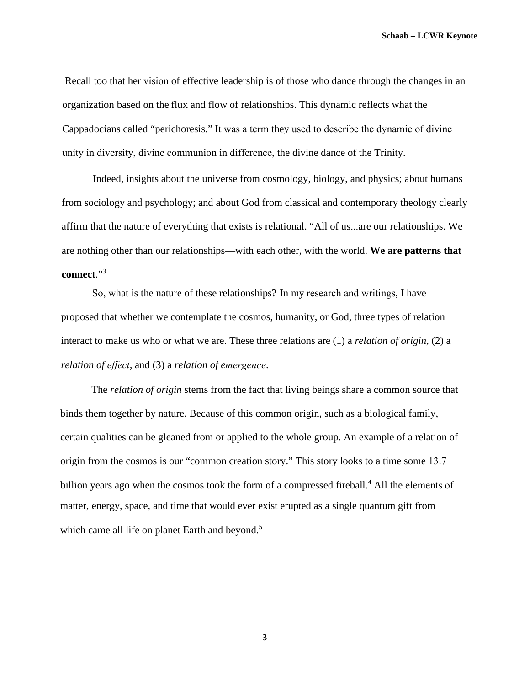Recall too that her vision of effective leadership is of those who dance through the changes in an organization based on the flux and flow of relationships. This dynamic reflects what the Cappadocians called "perichoresis." It was a term they used to describe the dynamic of divine unity in diversity, divine communion in difference, the divine dance of the Trinity.

Indeed, insights about the universe from cosmology, biology, and physics; about humans from sociology and psychology; and about God from classical and contemporary theology clearly affirm that the nature of everything that exists is relational. "All of us...are our relationships. We are nothing other than our relationships—with each other, with the world. **We are patterns that connect**."<sup>3</sup>

So, what is the nature of these relationships? In my research and writings, I have proposed that whether we contemplate the cosmos, humanity, or God, three types of relation interact to make us who or what we are. These three relations are (1) a *relation of origin*, (2) a *relation of effect,* and (3) a *relation of emergence*.

The *relation of origin* stems from the fact that living beings share a common source that binds them together by nature. Because of this common origin, such as a biological family, certain qualities can be gleaned from or applied to the whole group. An example of a relation of origin from the cosmos is our "common creation story." This story looks to a time some 13.7 billion years ago when the cosmos took the form of a compressed fireball.<sup>4</sup> All the elements of matter, energy, space, and time that would ever exist erupted as a single quantum gift from which came all life on planet Earth and beyond.<sup>5</sup>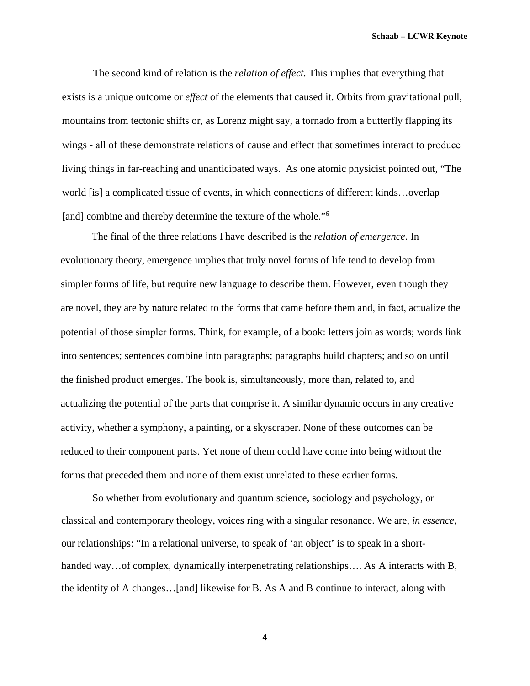The second kind of relation is the *relation of effect.* This implies that everything that exists is a unique outcome or *effect* of the elements that caused it. Orbits from gravitational pull, mountains from tectonic shifts or, as Lorenz might say, a tornado from a butterfly flapping its wings - all of these demonstrate relations of cause and effect that sometimes interact to produce living things in far-reaching and unanticipated ways. As one atomic physicist pointed out, "The world [is] a complicated tissue of events, in which connections of different kinds…overlap [and] combine and thereby determine the texture of the whole."<sup>6</sup>

The final of the three relations I have described is the *relation of emergence.* In evolutionary theory, emergence implies that truly novel forms of life tend to develop from simpler forms of life, but require new language to describe them. However, even though they are novel, they are by nature related to the forms that came before them and, in fact, actualize the potential of those simpler forms. Think, for example, of a book: letters join as words; words link into sentences; sentences combine into paragraphs; paragraphs build chapters; and so on until the finished product emerges. The book is, simultaneously, more than, related to, and actualizing the potential of the parts that comprise it. A similar dynamic occurs in any creative activity, whether a symphony, a painting, or a skyscraper. None of these outcomes can be reduced to their component parts. Yet none of them could have come into being without the forms that preceded them and none of them exist unrelated to these earlier forms.

So whether from evolutionary and quantum science, sociology and psychology, or classical and contemporary theology, voices ring with a singular resonance. We are, *in essence*, our relationships: "In a relational universe, to speak of 'an object' is to speak in a shorthanded way...of complex, dynamically interpenetrating relationships.... As A interacts with B, the identity of A changes…[and] likewise for B. As A and B continue to interact, along with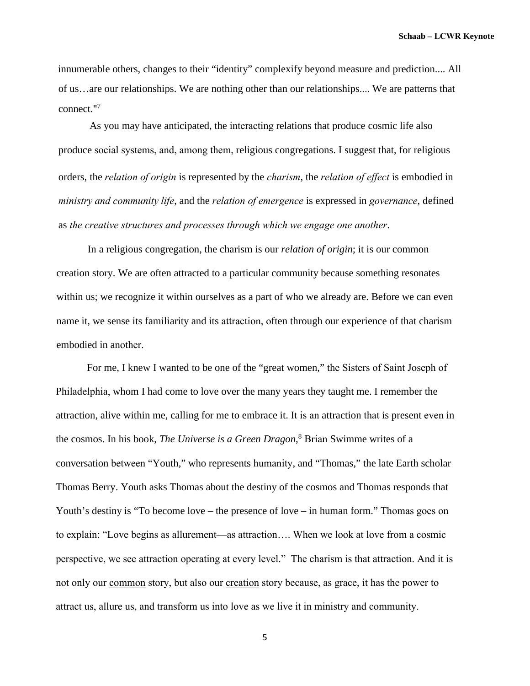innumerable others, changes to their "identity" complexify beyond measure and prediction.... All of us…are our relationships. We are nothing other than our relationships.... We are patterns that connect." 7

As you may have anticipated, the interacting relations that produce cosmic life also produce social systems, and, among them, religious congregations. I suggest that, for religious orders, the *relation of origin* is represented by the *charism*, the *relation of effect* is embodied in *ministry and community life*, and the *relation of emergence* is expressed in *governance*, defined as *the creative structures and processes through which we engage one another*.

In a religious congregation, the charism is our *relation of origin*; it is our common creation story. We are often attracted to a particular community because something resonates within us; we recognize it within ourselves as a part of who we already are. Before we can even name it, we sense its familiarity and its attraction, often through our experience of that charism embodied in another.

For me, I knew I wanted to be one of the "great women," the Sisters of Saint Joseph of Philadelphia, whom I had come to love over the many years they taught me. I remember the attraction, alive within me, calling for me to embrace it. It is an attraction that is present even in the cosmos. In his book, *The Universe is a Green Dragon*, <sup>8</sup> Brian Swimme writes of a conversation between "Youth," who represents humanity, and "Thomas," the late Earth scholar Thomas Berry. Youth asks Thomas about the destiny of the cosmos and Thomas responds that Youth's destiny is "To become love – the presence of love – in human form." Thomas goes on to explain: "Love begins as allurement—as attraction…. When we look at love from a cosmic perspective, we see attraction operating at every level." The charism is that attraction. And it is not only our common story, but also our creation story because, as grace, it has the power to attract us, allure us, and transform us into love as we live it in ministry and community.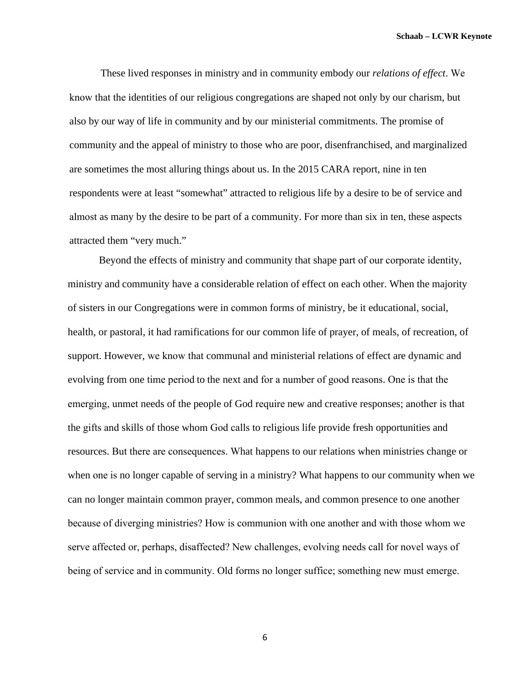These lived responses in ministry and in community embody our *relations of effect*. We know that the identities of our religious congregations are shaped not only by our charism, but also by our way of life in community and by our ministerial commitments. The promise of community and the appeal of ministry to those who are poor, disenfranchised, and marginalized are sometimes the most alluring things about us. In the 2015 CARA report, nine in ten respondents were at least "somewhat" attracted to religious life by a desire to be of service and almost as many by the desire to be part of a community. For more than six in ten, these aspects attracted them "very much."

Beyond the effects of ministry and community that shape part of our corporate identity, ministry and community have a considerable relation of effect on each other. When the majority of sisters in our Congregations were in common forms of ministry, be it educational, social, health, or pastoral, it had ramifications for our common life of prayer, of meals, of recreation, of support. However, we know that communal and ministerial relations of effect are dynamic and evolving from one time period to the next and for a number of good reasons. One is that the emerging, unmet needs of the people of God require new and creative responses; another is that the gifts and skills of those whom God calls to religious life provide fresh opportunities and resources. But there are consequences. What happens to our relations when ministries change or when one is no longer capable of serving in a ministry? What happens to our community when we can no longer maintain common prayer, common meals, and common presence to one another because of diverging ministries? How is communion with one another and with those whom we serve affected or, perhaps, disaffected? New challenges, evolving needs call for novel ways of being of service and in community. Old forms no longer suffice; something new must emerge.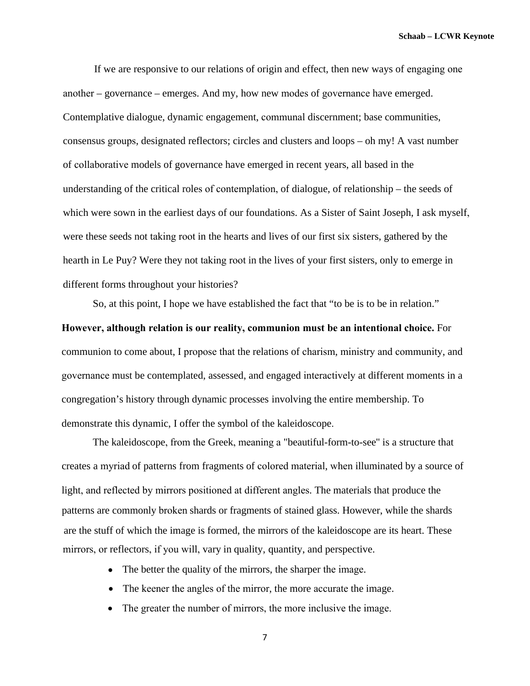If we are responsive to our relations of origin and effect, then new ways of engaging one another – governance – emerges. And my, how new modes of governance have emerged. Contemplative dialogue, dynamic engagement, communal discernment; base communities, consensus groups, designated reflectors; circles and clusters and loops – oh my! A vast number of collaborative models of governance have emerged in recent years, all based in the understanding of the critical roles of contemplation, of dialogue, of relationship – the seeds of which were sown in the earliest days of our foundations. As a Sister of Saint Joseph, I ask myself, were these seeds not taking root in the hearts and lives of our first six sisters, gathered by the hearth in Le Puy? Were they not taking root in the lives of your first sisters, only to emerge in different forms throughout your histories?

So, at this point, I hope we have established the fact that "to be is to be in relation." **However, although relation is our reality, communion must be an intentional choice.** For communion to come about, I propose that the relations of charism, ministry and community, and governance must be contemplated, assessed, and engaged interactively at different moments in a congregation's history through dynamic processes involving the entire membership. To demonstrate this dynamic, I offer the symbol of the kaleidoscope.

The kaleidoscope, from the Greek, meaning a "beautiful-form-to-see'' is a structure that creates a myriad of patterns from fragments of colored material, when illuminated by a source of light, and reflected by mirrors positioned at different angles. The materials that produce the patterns are commonly broken shards or fragments of stained glass. However, while the shards are the stuff of which the image is formed, the mirrors of the kaleidoscope are its heart. These mirrors, or reflectors, if you will, vary in quality, quantity, and perspective.

- The better the quality of the mirrors, the sharper the image.
- The keener the angles of the mirror, the more accurate the image.
- The greater the number of mirrors, the more inclusive the image.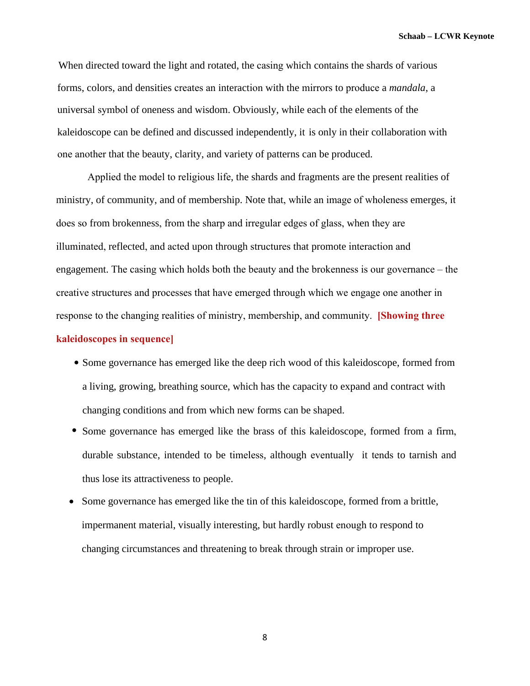When directed toward the light and rotated, the casing which contains the shards of various forms, colors, and densities creates an interaction with the mirrors to produce a *mandala*, a universal symbol of oneness and wisdom. Obviously, while each of the elements of the kaleidoscope can be defined and discussed independently, it is only in their collaboration with one another that the beauty, clarity, and variety of patterns can be produced.

Applied the model to religious life, the shards and fragments are the present realities of ministry, of community, and of membership. Note that, while an image of wholeness emerges, it does so from brokenness, from the sharp and irregular edges of glass, when they are illuminated, reflected, and acted upon through structures that promote interaction and engagement. The casing which holds both the beauty and the brokenness is our governance – the creative structures and processes that have emerged through which we engage one another in response to the changing realities of ministry, membership, and community. **[Showing three** 

## **kaleidoscopes in sequence]**

- Some governance has emerged like the deep rich wood of this kaleidoscope, formed from a living, growing, breathing source, which has the capacity to expand and contract with changing conditions and from which new forms can be shaped.
- Some governance has emerged like the brass of this kaleidoscope, formed from a firm, durable substance, intended to be timeless, although eventually it tends to tarnish and thus lose its attractiveness to people.
- Some governance has emerged like the tin of this kaleidoscope, formed from a brittle, impermanent material, visually interesting, but hardly robust enough to respond to changing circumstances and threatening to break through strain or improper use.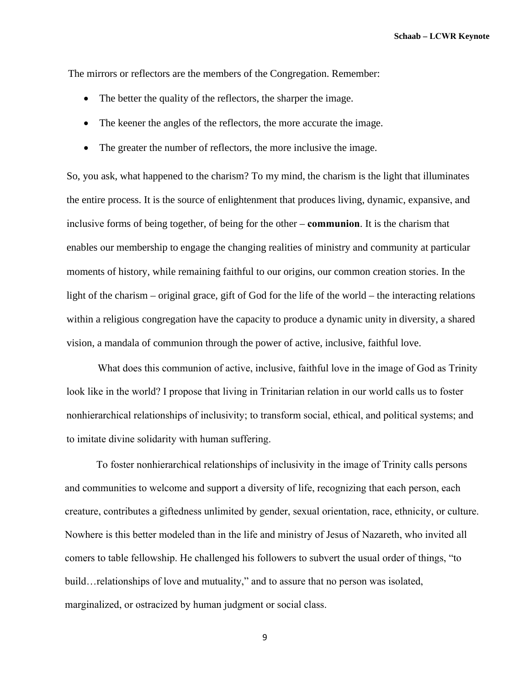The mirrors or reflectors are the members of the Congregation. Remember:

- The better the quality of the reflectors, the sharper the image.
- The keener the angles of the reflectors, the more accurate the image.
- The greater the number of reflectors, the more inclusive the image.

So, you ask, what happened to the charism? To my mind, the charism is the light that illuminates the entire process. It is the source of enlightenment that produces living, dynamic, expansive, and inclusive forms of being together, of being for the other – **communion**. It is the charism that enables our membership to engage the changing realities of ministry and community at particular moments of history, while remaining faithful to our origins, our common creation stories. In the light of the charism – original grace, gift of God for the life of the world – the interacting relations within a religious congregation have the capacity to produce a dynamic unity in diversity, a shared vision, a mandala of communion through the power of active, inclusive, faithful love.

What does this communion of active, inclusive, faithful love in the image of God as Trinity look like in the world? I propose that living in Trinitarian relation in our world calls us to foster nonhierarchical relationships of inclusivity; to transform social, ethical, and political systems; and to imitate divine solidarity with human suffering.

To foster nonhierarchical relationships of inclusivity in the image of Trinity calls persons and communities to welcome and support a diversity of life, recognizing that each person, each creature, contributes a giftedness unlimited by gender, sexual orientation, race, ethnicity, or culture. Nowhere is this better modeled than in the life and ministry of Jesus of Nazareth, who invited all comers to table fellowship. He challenged his followers to subvert the usual order of things, "to build…relationships of love and mutuality," and to assure that no person was isolated, marginalized, or ostracized by human judgment or social class.